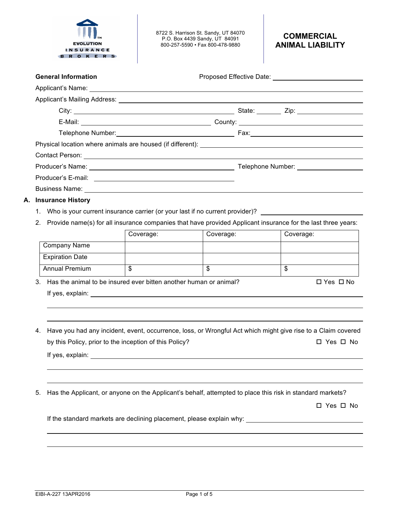

8722 S. Harrison St. Sandy, UT 84070 P.O. Box 4439 Sandy, UT 84091 800-257-5590 • Fax 800-478-9880

| <b>General Information</b>                                                                                                                                                                                                           |  |  |
|--------------------------------------------------------------------------------------------------------------------------------------------------------------------------------------------------------------------------------------|--|--|
| Applicant's Name: <u>example and the set of the set of the set of the set of the set of the set of the set of the set of the set of the set of the set of the set of the set of the set of the set of the set of the set of the </u> |  |  |
|                                                                                                                                                                                                                                      |  |  |
|                                                                                                                                                                                                                                      |  |  |
|                                                                                                                                                                                                                                      |  |  |
|                                                                                                                                                                                                                                      |  |  |
|                                                                                                                                                                                                                                      |  |  |
|                                                                                                                                                                                                                                      |  |  |
|                                                                                                                                                                                                                                      |  |  |
|                                                                                                                                                                                                                                      |  |  |
|                                                                                                                                                                                                                                      |  |  |
| A. Insurance History                                                                                                                                                                                                                 |  |  |

- 1. Who is your current insurance carrier (or your last if no current provider)?
- 2. Provide name(s) for all insurance companies that have provided Applicant insurance for the last three years:

|                                                                      | Coverage: | Coverage: | Coverage:            |
|----------------------------------------------------------------------|-----------|-----------|----------------------|
| <b>Company Name</b>                                                  |           |           |                      |
| <b>Expiration Date</b>                                               |           |           |                      |
| <b>Annual Premium</b>                                                | Φ         | Φ         | \$                   |
| 3. Has the animal to be insured ever bitten another human or animal? |           |           | $\Box$ Yes $\Box$ No |
| If yes, explain:                                                     |           |           |                      |

- 4. Have you had any incident, event, occurrence, loss, or Wrongful Act which might give rise to a Claim covered by this Policy, prior to the inception of this Policy? 
<br>
D Yes  $\Box$  No If yes, explain:
- 5. Has the Applicant, or anyone on the Applicant's behalf, attempted to place this risk in standard markets?

□ Yes □ No

If the standard markets are declining placement, please explain why: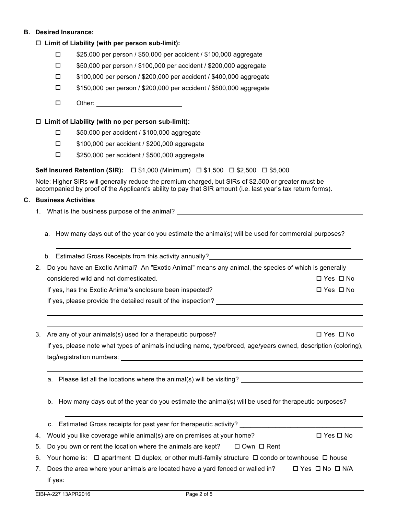# **B. Desired Insurance:**

## □ Limit of Liability (with per person sub-limit):

- □ \$25,000 per person / \$50,000 per accident / \$100,000 aggregate
- □ \$50,000 per person / \$100,000 per accident / \$200,000 aggregate
- $\square$  \$100,000 per person / \$200,000 per accident / \$400,000 aggregate
- $\square$  \$150,000 per person / \$200,000 per accident / \$500,000 aggregate
- $\Box$  Other:

### □ Limit of Liability (with no per person sub-limit):

- $\square$  \$50,000 per accident / \$100,000 aggregate
- $\square$  \$100,000 per accident / \$200,000 aggregate
- $\square$  \$250,000 per accident / \$500,000 aggregate

## **Self Insured Retention (SIR):**  $\Box$  \$1,000 (Minimum)  $\Box$  \$1,500  $\Box$  \$2,500  $\Box$  \$5,000

Note: Higher SIRs will generally reduce the premium charged, but SIRs of \$2,500 or greater must be accompanied by proof of the Applicant's ability to pay that SIR amount (i.e. last year's tax return forms).

#### **C. Business Activities**

1. What is the business purpose of the animal?

a. How many days out of the year do you estimate the animal(s) will be used for commercial purposes?

| b. Estimated Gross Receipts from this activity annually? |  |  |  |
|----------------------------------------------------------|--|--|--|
|                                                          |  |  |  |

| 2. Do you have an Exotic Animal? An "Exotic Animal" means any animal, the species of which is generally |            |
|---------------------------------------------------------------------------------------------------------|------------|
| considered wild and not domesticated.                                                                   | □ Yes □ No |
| If yes, has the Exotic Animal's enclosure been inspected?                                               | □ Yes □ No |
| If yes, please provide the detailed result of the inspection?                                           |            |

3. Are any of your animals(s) used for a therapeutic purpose?  $\square$  Yes  $\square$  No If yes, please note what types of animals including name, type/breed, age/years owned, description (coloring), tag/registration numbers:

a. Please list all the locations where the animal(s) will be visiting?

b. How many days out of the year do you estimate the animal(s) will be used for therapeutic purposes?

c. Estimated Gross receipts for past year for therapeutic activity?

4. Would you like coverage while animal(s) are on premises at your home?  $\square$  Yes  $\square$  No

- 5. Do you own or rent the location where the animals are kept?  $\Box$  Own  $\Box$  Rent
- 6. Your home is:  $\Box$  apartment  $\Box$  duplex, or other multi-family structure  $\Box$  condo or townhouse  $\Box$  house
- 7. Does the area where your animals are located have a yard fenced or walled in?  $\square$  Yes  $\square$  No  $\square$  N/A If yes: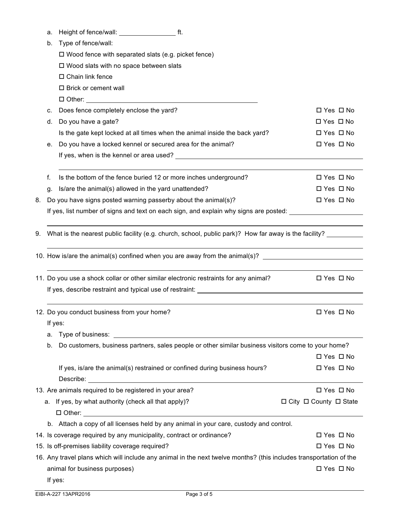| a. | Height of fence/wall: |  |  |
|----|-----------------------|--|--|
|----|-----------------------|--|--|

|    | b.      | Type of fence/wall:                                                                                                |                                        |
|----|---------|--------------------------------------------------------------------------------------------------------------------|----------------------------------------|
|    |         | $\square$ Wood fence with separated slats (e.g. picket fence)                                                      |                                        |
|    |         | $\square$ Wood slats with no space between slats                                                                   |                                        |
|    |         | □ Chain link fence                                                                                                 |                                        |
|    |         | □ Brick or cement wall                                                                                             |                                        |
|    |         |                                                                                                                    |                                        |
|    | с.      | Does fence completely enclose the yard?                                                                            | □ Yes □ No                             |
|    | d.      | Do you have a gate?                                                                                                | $\Box$ Yes $\Box$ No                   |
|    |         | Is the gate kept locked at all times when the animal inside the back yard?                                         | $\Box$ Yes $\Box$ No                   |
|    | е.      | Do you have a locked kennel or secured area for the animal?                                                        | □ Yes □ No                             |
|    |         |                                                                                                                    |                                        |
|    | f.      | Is the bottom of the fence buried 12 or more inches underground?                                                   | $\Box$ Yes $\Box$ No                   |
|    | g.      | Is/are the animal(s) allowed in the yard unattended?                                                               | $\Box$ Yes $\Box$ No                   |
| 8. |         | Do you have signs posted warning passerby about the animal(s)?                                                     | $\Box$ Yes $\Box$ No                   |
|    |         | If yes, list number of signs and text on each sign, and explain why signs are posted:                              |                                        |
|    |         |                                                                                                                    |                                        |
| 9. |         | What is the nearest public facility (e.g. church, school, public park)? How far away is the facility?              |                                        |
|    |         |                                                                                                                    |                                        |
|    |         | 10. How is/are the animal(s) confined when you are away from the animal(s)? ________________________               |                                        |
|    |         | 11. Do you use a shock collar or other similar electronic restraints for any animal?                               | $\Box$ Yes $\Box$ No                   |
|    |         |                                                                                                                    |                                        |
|    |         |                                                                                                                    |                                        |
|    |         | 12. Do you conduct business from your home?                                                                        | $\Box$ Yes $\Box$ No                   |
|    | If yes: |                                                                                                                    |                                        |
|    | a.      |                                                                                                                    |                                        |
|    | b.      | Do customers, business partners, sales people or other similar business visitors come to your home?                |                                        |
|    |         |                                                                                                                    | □ Yes □ No                             |
|    |         | If yes, is/are the animal(s) restrained or confined during business hours?                                         | □ Yes □ No                             |
|    |         |                                                                                                                    |                                        |
|    |         | 13. Are animals required to be registered in your area?                                                            | □ Yes □ No                             |
|    | а.      | If yes, by what authority (check all that apply)?                                                                  | $\Box$ City $\Box$ County $\Box$ State |
|    |         |                                                                                                                    |                                        |
|    |         | b. Attach a copy of all licenses held by any animal in your care, custody and control.                             |                                        |
|    |         | 14. Is coverage required by any municipality, contract or ordinance?                                               | $\Box$ Yes $\Box$ No                   |
|    |         | 15. Is off-premises liability coverage required?                                                                   | $\Box$ Yes $\Box$ No                   |
|    |         | 16. Any travel plans which will include any animal in the next twelve months? (this includes transportation of the |                                        |
|    |         | animal for business purposes)                                                                                      | □ Yes □ No                             |
|    | If yes: |                                                                                                                    |                                        |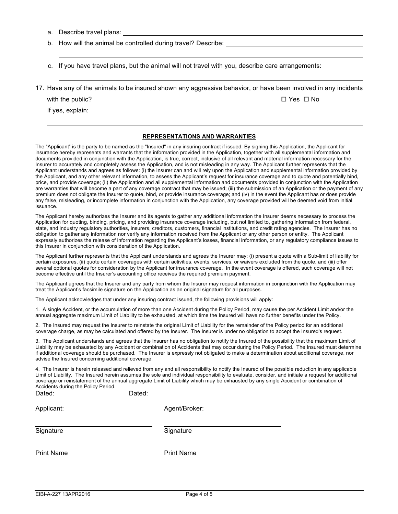a. Describe travel plans:

b. How will the animal be controlled during travel? Describe:

c. If you have travel plans, but the animal will not travel with you, describe care arrangements:

17. Have any of the animals to be insured shown any aggressive behavior, or have been involved in any incidents

with the public?  $\square$  Yes  $\square$  No

If yes, explain:

#### **REPRESENTATIONS AND WARRANTIES**

The "Applicant" is the party to be named as the "Insured" in any insuring contract if issued. By signing this Application, the Applicant for insurance hereby represents and warrants that the information provided in the Application, together with all supplemental information and documents provided in conjunction with the Application, is true, correct, inclusive of all relevant and material information necessary for the Insurer to accurately and completely assess the Application, and is not misleading in any way. The Applicant further represents that the Applicant understands and agrees as follows: (i) the Insurer can and will rely upon the Application and supplemental information provided by the Applicant, and any other relevant information, to assess the Applicant's request for insurance coverage and to quote and potentially bind, price, and provide coverage; (ii) the Application and all supplemental information and documents provided in conjunction with the Application are warranties that will become a part of any coverage contract that may be issued; (iii) the submission of an Application or the payment of any premium does not obligate the Insurer to quote, bind, or provide insurance coverage; and (iv) in the event the Applicant has or does provide any false, misleading, or incomplete information in conjunction with the Application, any coverage provided will be deemed void from initial issuance.

The Applicant hereby authorizes the Insurer and its agents to gather any additional information the Insurer deems necessary to process the Application for quoting, binding, pricing, and providing insurance coverage including, but not limited to, gathering information from federal, state, and industry regulatory authorities, insurers, creditors, customers, financial institutions, and credit rating agencies. The Insurer has no obligation to gather any information nor verify any information received from the Applicant or any other person or entity. The Applicant expressly authorizes the release of information regarding the Applicant's losses, financial information, or any regulatory compliance issues to this Insurer in conjunction with consideration of the Application.

The Applicant further represents that the Applicant understands and agrees the Insurer may: (i) present a quote with a Sub-limit of liability for certain exposures, (ii) quote certain coverages with certain activities, events, services, or waivers excluded from the quote, and (iii) offer several optional quotes for consideration by the Applicant for insurance coverage. In the event coverage is offered, such coverage will not become effective until the Insurer's accounting office receives the required premium payment.

The Applicant agrees that the Insurer and any party from whom the Insurer may request information in conjunction with the Application may treat the Applicant's facsimile signature on the Application as an original signature for all purposes.

The Applicant acknowledges that under any insuring contract issued, the following provisions will apply:

1. A single Accident, or the accumulation of more than one Accident during the Policy Period, may cause the per Accident Limit and/or the annual aggregate maximum Limit of Liability to be exhausted, at which time the Insured will have no further benefits under the Policy.

2. The Insured may request the Insurer to reinstate the original Limit of Liability for the remainder of the Policy period for an additional coverage charge, as may be calculated and offered by the Insurer. The Insurer is under no obligation to accept the Insured's request.

3. The Applicant understands and agrees that the Insurer has no obligation to notify the Insured of the possibility that the maximum Limit of Liability may be exhausted by any Accident or combination of Accidents that may occur during the Policy Period. The Insured must determine if additional coverage should be purchased. The Insurer is expressly not obligated to make a determination about additional coverage, nor advise the Insured concerning additional coverage.

4. The Insurer is herein released and relieved from any and all responsibility to notify the Insured of the possible reduction in any applicable Limit of Liability. The Insured herein assumes the sole and individual responsibility to evaluate, consider, and initiate a request for additional coverage or reinstatement of the annual aggregate Limit of Liability which may be exhausted by any single Accident or combination of Accidents during the Policy Period.

| Dated:            | Dated:            |
|-------------------|-------------------|
| Applicant:        | Agent/Broker:     |
| Signature         | Signature         |
| <b>Print Name</b> | <b>Print Name</b> |